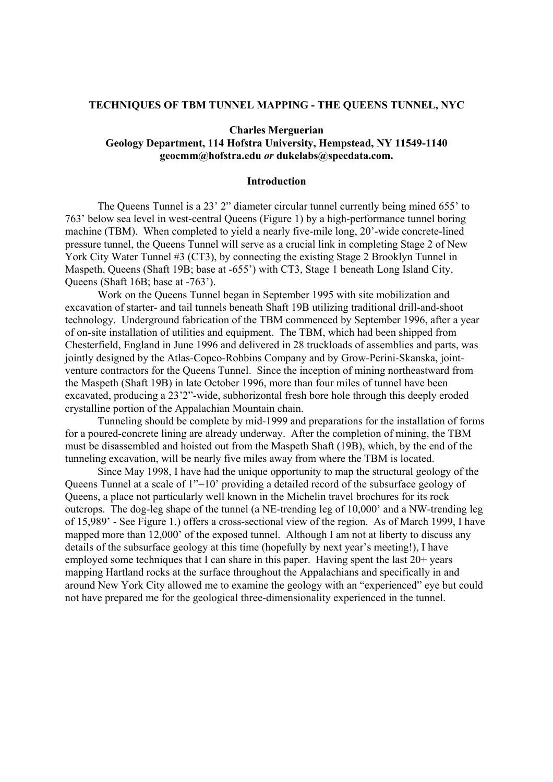### **TECHNIQUES OF TBM TUNNEL MAPPING - THE QUEENS TUNNEL, NYC**

# **Charles Merguerian Geology Department, 114 Hofstra University, Hempstead, NY 11549-1140**

**geocmm@hofstra.edu** *or* **dukelabs@specdata.com.** 

# **Introduction**

 The Queens Tunnel is a 23' 2" diameter circular tunnel currently being mined 655' to 763' below sea level in west-central Queens (Figure 1) by a high-performance tunnel boring machine (TBM). When completed to yield a nearly five-mile long, 20'-wide concrete-lined pressure tunnel, the Queens Tunnel will serve as a crucial link in completing Stage 2 of New York City Water Tunnel #3 (CT3), by connecting the existing Stage 2 Brooklyn Tunnel in Maspeth, Queens (Shaft 19B; base at -655') with CT3, Stage 1 beneath Long Island City, Queens (Shaft 16B; base at -763').

Work on the Queens Tunnel began in September 1995 with site mobilization and excavation of starter- and tail tunnels beneath Shaft 19B utilizing traditional drill-and-shoot technology. Underground fabrication of the TBM commenced by September 1996, after a year of on-site installation of utilities and equipment. The TBM, which had been shipped from Chesterfield, England in June 1996 and delivered in 28 truckloads of assemblies and parts, was jointly designed by the Atlas-Copco-Robbins Company and by Grow-Perini-Skanska, jointventure contractors for the Queens Tunnel. Since the inception of mining northeastward from the Maspeth (Shaft 19B) in late October 1996, more than four miles of tunnel have been excavated, producing a 23'2"-wide, subhorizontal fresh bore hole through this deeply eroded crystalline portion of the Appalachian Mountain chain.

 Tunneling should be complete by mid-1999 and preparations for the installation of forms for a poured-concrete lining are already underway. After the completion of mining, the TBM must be disassembled and hoisted out from the Maspeth Shaft (19B), which, by the end of the tunneling excavation, will be nearly five miles away from where the TBM is located.

Since May 1998, I have had the unique opportunity to map the structural geology of the Queens Tunnel at a scale of 1"=10' providing a detailed record of the subsurface geology of Queens, a place not particularly well known in the Michelin travel brochures for its rock outcrops. The dog-leg shape of the tunnel (a NE-trending leg of 10,000' and a NW-trending leg of 15,989' - See Figure 1.) offers a cross-sectional view of the region. As of March 1999, I have mapped more than 12,000' of the exposed tunnel. Although I am not at liberty to discuss any details of the subsurface geology at this time (hopefully by next year's meeting!), I have employed some techniques that I can share in this paper. Having spent the last 20+ years mapping Hartland rocks at the surface throughout the Appalachians and specifically in and around New York City allowed me to examine the geology with an "experienced" eye but could not have prepared me for the geological three-dimensionality experienced in the tunnel.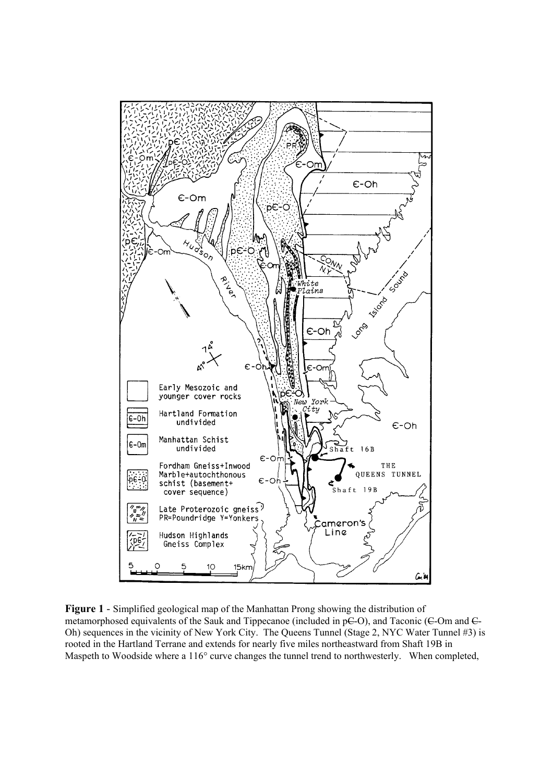

**Figure 1** - Simplified geological map of the Manhattan Prong showing the distribution of metamorphosed equivalents of the Sauk and Tippecanoe (included in pC-O), and Taconic (C-Om and C-Oh) sequences in the vicinity of New York City. The Queens Tunnel (Stage 2, NYC Water Tunnel #3) is rooted in the Hartland Terrane and extends for nearly five miles northeastward from Shaft 19B in Maspeth to Woodside where a 116° curve changes the tunnel trend to northwesterly. When completed,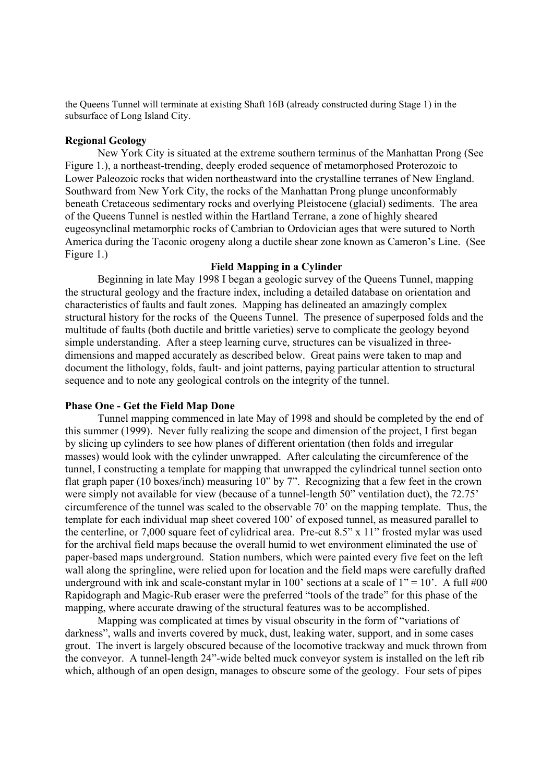the Queens Tunnel will terminate at existing Shaft 16B (already constructed during Stage 1) in the subsurface of Long Island City.

# **Regional Geology**

 New York City is situated at the extreme southern terminus of the Manhattan Prong (See Figure 1.), a northeast-trending, deeply eroded sequence of metamorphosed Proterozoic to Lower Paleozoic rocks that widen northeastward into the crystalline terranes of New England. Southward from New York City, the rocks of the Manhattan Prong plunge unconformably beneath Cretaceous sedimentary rocks and overlying Pleistocene (glacial) sediments. The area of the Queens Tunnel is nestled within the Hartland Terrane, a zone of highly sheared eugeosynclinal metamorphic rocks of Cambrian to Ordovician ages that were sutured to North America during the Taconic orogeny along a ductile shear zone known as Cameron's Line. (See Figure 1.)

### **Field Mapping in a Cylinder**

Beginning in late May 1998 I began a geologic survey of the Queens Tunnel, mapping the structural geology and the fracture index, including a detailed database on orientation and characteristics of faults and fault zones. Mapping has delineated an amazingly complex structural history for the rocks of the Queens Tunnel. The presence of superposed folds and the multitude of faults (both ductile and brittle varieties) serve to complicate the geology beyond simple understanding. After a steep learning curve, structures can be visualized in threedimensions and mapped accurately as described below. Great pains were taken to map and document the lithology, folds, fault- and joint patterns, paying particular attention to structural sequence and to note any geological controls on the integrity of the tunnel.

# **Phase One - Get the Field Map Done**

Tunnel mapping commenced in late May of 1998 and should be completed by the end of this summer (1999). Never fully realizing the scope and dimension of the project, I first began by slicing up cylinders to see how planes of different orientation (then folds and irregular masses) would look with the cylinder unwrapped. After calculating the circumference of the tunnel, I constructing a template for mapping that unwrapped the cylindrical tunnel section onto flat graph paper (10 boxes/inch) measuring 10" by 7". Recognizing that a few feet in the crown were simply not available for view (because of a tunnel-length 50" ventilation duct), the 72.75' circumference of the tunnel was scaled to the observable 70' on the mapping template. Thus, the template for each individual map sheet covered 100' of exposed tunnel, as measured parallel to the centerline, or 7,000 square feet of cylidrical area. Pre-cut 8.5" x 11" frosted mylar was used for the archival field maps because the overall humid to wet environment eliminated the use of paper-based maps underground. Station numbers, which were painted every five feet on the left wall along the springline, were relied upon for location and the field maps were carefully drafted underground with ink and scale-constant mylar in 100' sections at a scale of  $1" = 10'$ . A full #00 Rapidograph and Magic-Rub eraser were the preferred "tools of the trade" for this phase of the mapping, where accurate drawing of the structural features was to be accomplished.

Mapping was complicated at times by visual obscurity in the form of "variations of darkness", walls and inverts covered by muck, dust, leaking water, support, and in some cases grout. The invert is largely obscured because of the locomotive trackway and muck thrown from the conveyor. A tunnel-length 24"-wide belted muck conveyor system is installed on the left rib which, although of an open design, manages to obscure some of the geology. Four sets of pipes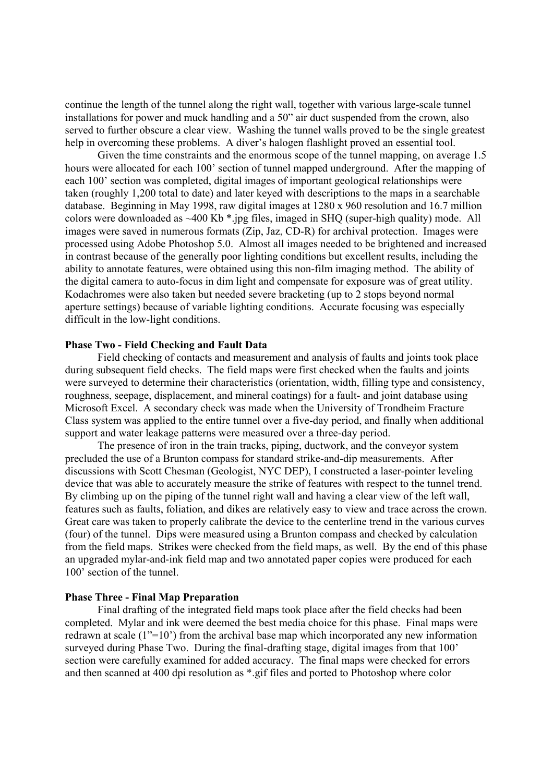continue the length of the tunnel along the right wall, together with various large-scale tunnel installations for power and muck handling and a 50" air duct suspended from the crown, also served to further obscure a clear view. Washing the tunnel walls proved to be the single greatest help in overcoming these problems. A diver's halogen flashlight proved an essential tool.

Given the time constraints and the enormous scope of the tunnel mapping, on average 1.5 hours were allocated for each 100' section of tunnel mapped underground. After the mapping of each 100' section was completed, digital images of important geological relationships were taken (roughly 1,200 total to date) and later keyed with descriptions to the maps in a searchable database. Beginning in May 1998, raw digital images at 1280 x 960 resolution and 16.7 million colors were downloaded as ~400 Kb \*.jpg files, imaged in SHQ (super-high quality) mode. All images were saved in numerous formats (Zip, Jaz, CD-R) for archival protection. Images were processed using Adobe Photoshop 5.0. Almost all images needed to be brightened and increased in contrast because of the generally poor lighting conditions but excellent results, including the ability to annotate features, were obtained using this non-film imaging method. The ability of the digital camera to auto-focus in dim light and compensate for exposure was of great utility. Kodachromes were also taken but needed severe bracketing (up to 2 stops beyond normal aperture settings) because of variable lighting conditions. Accurate focusing was especially difficult in the low-light conditions.

# **Phase Two - Field Checking and Fault Data**

Field checking of contacts and measurement and analysis of faults and joints took place during subsequent field checks. The field maps were first checked when the faults and joints were surveyed to determine their characteristics (orientation, width, filling type and consistency, roughness, seepage, displacement, and mineral coatings) for a fault- and joint database using Microsoft Excel. A secondary check was made when the University of Trondheim Fracture Class system was applied to the entire tunnel over a five-day period, and finally when additional support and water leakage patterns were measured over a three-day period.

The presence of iron in the train tracks, piping, ductwork, and the conveyor system precluded the use of a Brunton compass for standard strike-and-dip measurements. After discussions with Scott Chesman (Geologist, NYC DEP), I constructed a laser-pointer leveling device that was able to accurately measure the strike of features with respect to the tunnel trend. By climbing up on the piping of the tunnel right wall and having a clear view of the left wall, features such as faults, foliation, and dikes are relatively easy to view and trace across the crown. Great care was taken to properly calibrate the device to the centerline trend in the various curves (four) of the tunnel. Dips were measured using a Brunton compass and checked by calculation from the field maps. Strikes were checked from the field maps, as well. By the end of this phase an upgraded mylar-and-ink field map and two annotated paper copies were produced for each 100' section of the tunnel.

### **Phase Three - Final Map Preparation**

Final drafting of the integrated field maps took place after the field checks had been completed. Mylar and ink were deemed the best media choice for this phase. Final maps were redrawn at scale (1"=10') from the archival base map which incorporated any new information surveyed during Phase Two. During the final-drafting stage, digital images from that 100' section were carefully examined for added accuracy. The final maps were checked for errors and then scanned at 400 dpi resolution as \*.gif files and ported to Photoshop where color